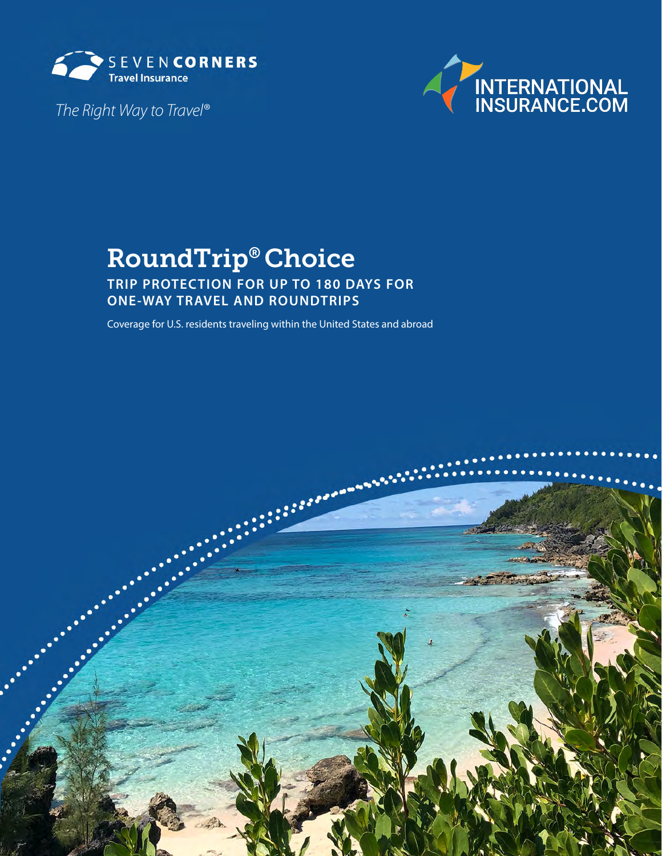

*The Right Way to Travel®* 



# RoundTrip® Choice

**TRIP PROTECTION FOR UP TO 180 DAYS FOR ONE-WAY TRAVEL AND ROUNDTRIPS**

Coverage for U.S. residents traveling within the United States and abroad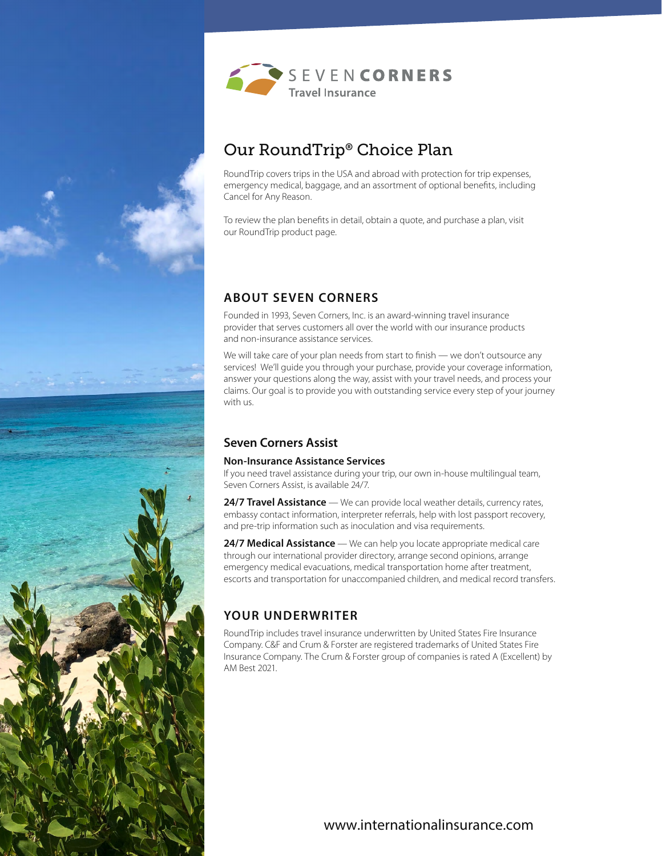

### **ABOUT SEVEN CORNERS**

Founded in 1993, Seven Corners, Inc. is an award-winning travel insurance provider that serves customers all over the world with our insurance products and non-insurance assistance services.

We will take care of your plan needs from start to finish — we don't outsource any services! We'll guide you through your purchase, provide your coverage information, answer your questions along the way, assist with your travel needs, and process your claims. Our goal is to provide you with outstanding service every step of your journey with us.

### **Seven Corners Assist**

#### **Non-Insurance Assistance Services**

If you need travel assistance during your trip, our own in-house multilingual team, Seven Corners Assist, is available 24/7.

24/7 Travel Assistance — We can provide local weather details, currency rates, embassy contact information, interpreter referrals, help with lost passport recovery, and pre-trip information such as inoculation and visa requirements.

**24/7 Medical Assistance** — We can help you locate appropriate medical care through our international provider directory, arrange second opinions, arrange emergency medical evacuations, medical transportation home after treatment, escorts and transportation for unaccompanied children, and medical record transfers.

### **YOUR UNDERWRITER**

RoundTrip includes travel insurance underwritten by United States Fire Insurance Company. C&F and Crum & Forster are registered trademarks of United States Fire Insurance Company. The Crum & Forster group of companies is rated A (Excellent) by AM Best 2021.

### [www.internationalinsurance.com](https://www.internationalinsurance.com/seven-corners/roundtrip/)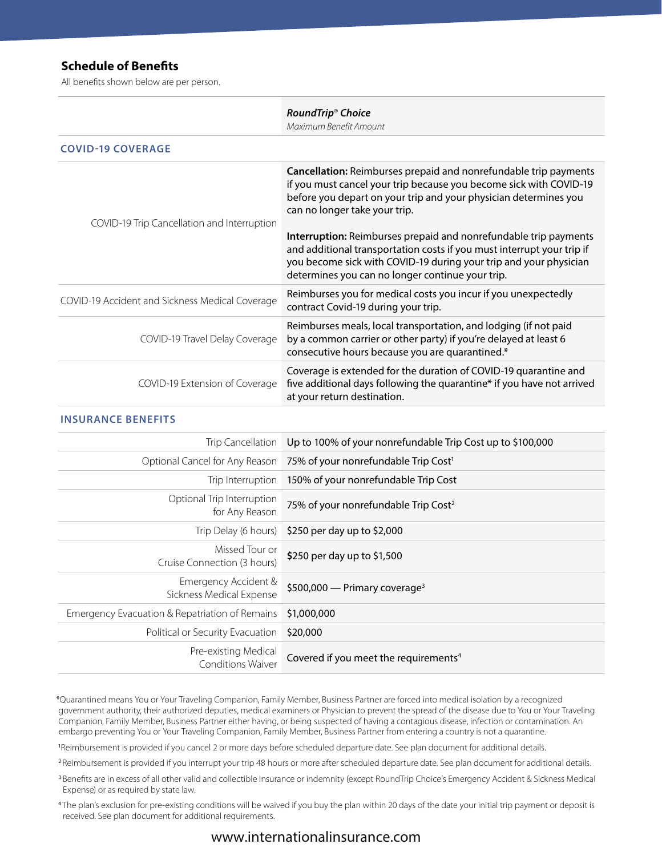### **Schedule of Benefts**

All benefts shown below are per person.

|                                                 | RoundTrip <sup>®</sup> Choice<br>Maximum Benefit Amount                                                                                                                                                                                                                                                                                                                                                                                                                                                                   |  |
|-------------------------------------------------|---------------------------------------------------------------------------------------------------------------------------------------------------------------------------------------------------------------------------------------------------------------------------------------------------------------------------------------------------------------------------------------------------------------------------------------------------------------------------------------------------------------------------|--|
| <b>COVID-19 COVERAGE</b>                        |                                                                                                                                                                                                                                                                                                                                                                                                                                                                                                                           |  |
| COVID-19 Trip Cancellation and Interruption     | <b>Cancellation:</b> Reimburses prepaid and nonrefundable trip payments<br>if you must cancel your trip because you become sick with COVID-19<br>before you depart on your trip and your physician determines you<br>can no longer take your trip.<br>Interruption: Reimburses prepaid and nonrefundable trip payments<br>and additional transportation costs if you must interrupt your trip if<br>you become sick with COVID-19 during your trip and your physician<br>determines you can no longer continue your trip. |  |
| COVID-19 Accident and Sickness Medical Coverage | Reimburses you for medical costs you incur if you unexpectedly<br>contract Covid-19 during your trip.                                                                                                                                                                                                                                                                                                                                                                                                                     |  |
| COVID-19 Travel Delay Coverage                  | Reimburses meals, local transportation, and lodging (if not paid<br>by a common carrier or other party) if you're delayed at least 6<br>consecutive hours because you are quarantined.*                                                                                                                                                                                                                                                                                                                                   |  |
| COVID-19 Extension of Coverage                  | Coverage is extended for the duration of COVID-19 quarantine and<br>five additional days following the quarantine* if you have not arrived<br>at your return destination.                                                                                                                                                                                                                                                                                                                                                 |  |

#### **INSURANCE BENEFITS**

|                                                  | Trip Cancellation Up to 100% of your nonrefundable Trip Cost up to \$100,000    |
|--------------------------------------------------|---------------------------------------------------------------------------------|
|                                                  | Optional Cancel for Any Reason 75% of your nonrefundable Trip Cost <sup>1</sup> |
|                                                  | Trip Interruption 150% of your nonrefundable Trip Cost                          |
| Optional Trip Interruption<br>for Any Reason     | 75% of your nonrefundable Trip Cost <sup>2</sup>                                |
| Trip Delay (6 hours)                             | \$250 per day up to \$2,000                                                     |
| Missed Tour or<br>Cruise Connection (3 hours)    | \$250 per day up to \$1,500                                                     |
| Emergency Accident &<br>Sickness Medical Expense | \$500,000 – Primary coverage <sup>3</sup>                                       |
| Emergency Evacuation & Repatriation of Remains   | \$1,000,000                                                                     |
| Political or Security Evacuation                 | \$20,000                                                                        |
| Pre-existing Medical<br>Conditions Waiver        | Covered if you meet the requirements <sup>4</sup>                               |

\*Quarantined means You or Your Traveling Companion, Family Member, Business Partner are forced into medical isolation by a recognized government authority, their authorized deputies, medical examiners or Physician to prevent the spread of the disease due to You or Your Traveling Companion, Family Member, Business Partner either having, or being suspected of having a contagious disease, infection or contamination. An embargo preventing You or Your Traveling Companion, Family Member, Business Partner from entering a country is not a quarantine.

1 Reimbursement is provided if you cancel 2 or more days before scheduled departure date. See plan document for additional details.

<sup>2</sup> Reimbursement is provided if you interrupt your trip 48 hours or more after scheduled departure date. See plan document for additional details.

<sup>3</sup> Benefits are in excess of all other valid and collectible insurance or indemnity (except RoundTrip Choice's Emergency Accident & Sickness Medical Expense) or as required by state law.

<sup>4</sup>The plan's exclusion for pre-existing conditions will be waived if you buy the plan within 20 days of the date your initial trip payment or deposit is received. See plan document for additional requirements.

### [www.internationalinsurance.com](https://www.internationalinsurance.com/seven-corners/roundtrip/)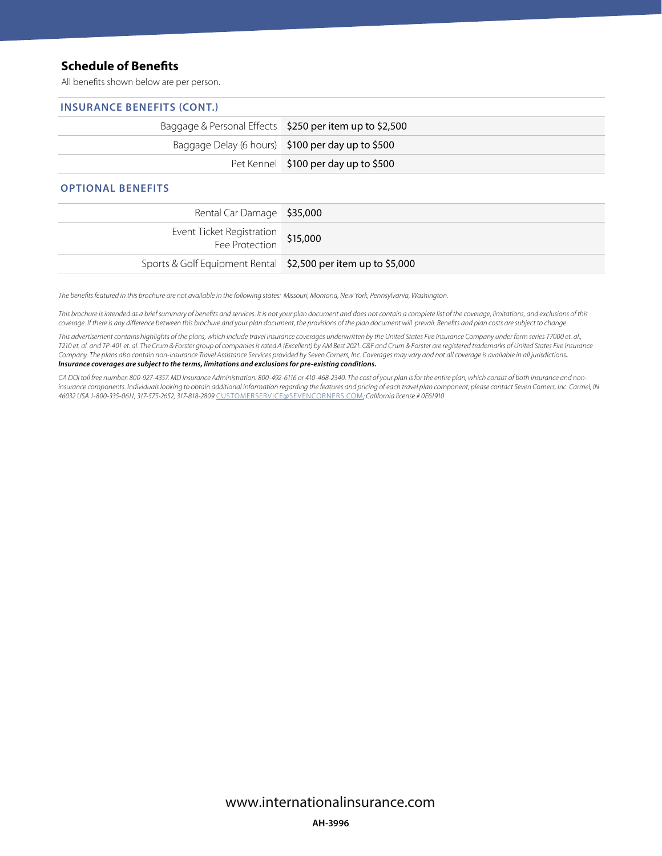### **Schedule of Benefts**

All benefts shown below are per person.

| <b>INSURANCE BENEFITS (CONT.)</b> |                                                         |
|-----------------------------------|---------------------------------------------------------|
|                                   | Baggage & Personal Effects \$250 per item up to \$2,500 |
|                                   | Baggage Delay (6 hours) \$100 per day up to \$500       |
|                                   | Pet Kennel \$100 per day up to \$500                    |
|                                   |                                                         |

#### **OPTIONAL BENEFITS**

| Rental Car Damage \$35,000                                    |  |
|---------------------------------------------------------------|--|
| Event Ticket Registration \$15,000<br>Fee Protection \$15,000 |  |
| Sports & Golf Equipment Rental \$2,500 per item up to \$5,000 |  |

*The benefts featured in this brochure are not available in the following states: Missouri, Montana, New York, Pennsylvania, Washington.* 

This brochure is intended as a brief summary of benefits and services. It is not your plan document and does not contain a complete list of the coverage, limitations, and exclusions of this *coverage. If there is any difference between this brochure and your plan document, the provisions of the plan document will prevail. Benefits and plan costs are subject to change.* 

*This advertisement contains highlights of the plans, which include travel insurance coverages underwritten by the United States Fire Insurance Company under form series T7000 et. al., T210 et. al. and TP-401 et. al. The Crum & Forster group of companies is rated A (Excellent) by AM Best 2021. C&F and Crum & Forster are registered trademarks of United States Fire Insurance Company. The plans also contain non-insurance Travel Assistance Services provided by Seven Corners, Inc. Coverages may vary and not all coverage is available in all jurisdictions. Insurance coverages are subject to the terms, limitations and exclusions for pre-existing conditions.* 

*CA DOI toll free number: 800-927-4357. MD Insurance Administration: 800-492-6116 or 410-468-2340. The cost of your plan is for the entire plan, which consist of both insurance and noninsurance components. Individuals looking to obtain additional information regarding the features and pricing of each travel plan component, please contact Seven Corners, Inc. Carmel, IN 46032 USA 1-800-335-0611, 317-575-2652, 317-818-2809* CUSTOMERSERVICE@SEVENCORNERS.COM*; California license # 0E61910*